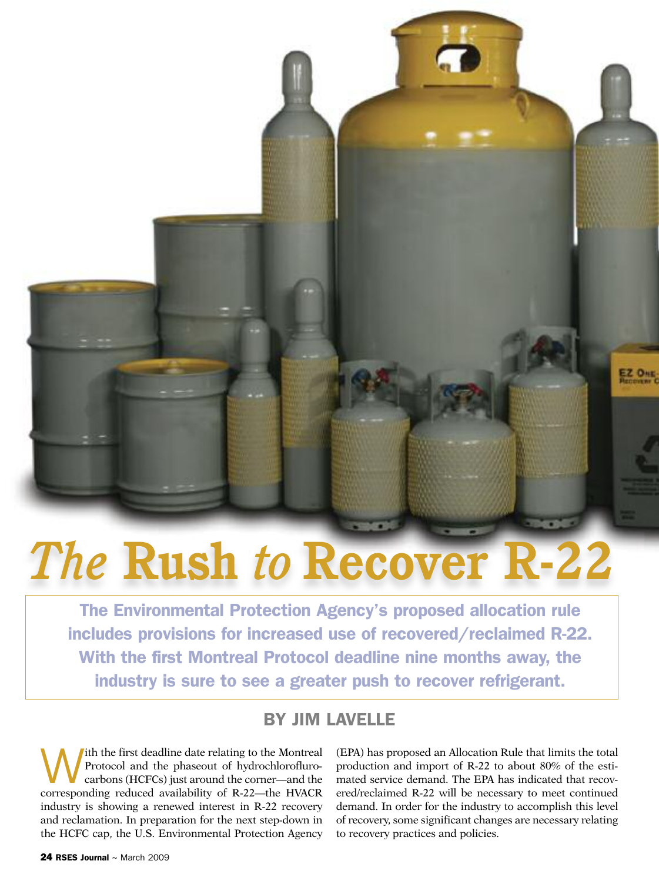# *The* **Rush** *to* **Recover R-22**

**The Environmental Protection Agency's proposed allocation rule includes provisions for increased use of recovered/reclaimed R-22. With the first Montreal Protocol deadline nine months away, the industry is sure to see a greater push to recover refrigerant.**

### **BY JIM LAVELLE**

With the first deadline date relating to the Montreal<br>Protocol and the phaseout of hydrochlorofluro-<br>carbons (HCFCs) just around the corner—and the Protocol and the phaseout of hydrochloroflurocorresponding reduced availability of R-22—the HVACR industry is showing a renewed interest in R-22 recovery and reclamation. In preparation for the next step-down in the HCFC cap, the U.S. Environmental Protection Agency

(EPA) has proposed an Allocation Rule that limits the total production and import of R-22 to about 80% of the estimated service demand. The EPA has indicated that recovered/reclaimed R-22 will be necessary to meet continued demand. In order for the industry to accomplish this level of recovery, some significant changes are necessary relating to recovery practices and policies.

EZ OHE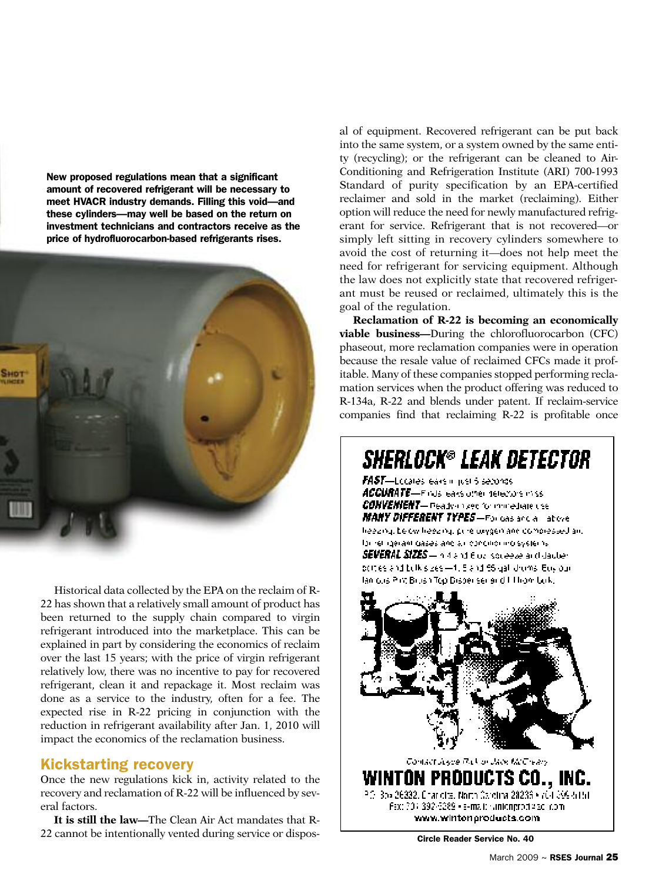**New proposed regulations mean that a significant amount of recovered refrigerant will be necessary to meet HVACR industry demands. Filling this void—and these cylinders—may well be based on the return on investment technicians and contractors receive as the price of hydrofluorocarbon-based refrigerants rises.**



Historical data collected by the EPA on the reclaim of R-22 has shown that a relatively small amount of product has been returned to the supply chain compared to virgin refrigerant introduced into the marketplace. This can be explained in part by considering the economics of reclaim over the last 15 years; with the price of virgin refrigerant relatively low, there was no incentive to pay for recovered refrigerant, clean it and repackage it. Most reclaim was done as a service to the industry, often for a fee. The expected rise in R-22 pricing in conjunction with the reduction in refrigerant availability after Jan. 1, 2010 will impact the economics of the reclamation business.

#### **Kickstarting recovery**

Once the new regulations kick in, activity related to the recovery and reclamation of R-22 will be influenced by several factors.

**It is still the law—**The Clean Air Act mandates that R-22 cannot be intentionally vented during service or disposal of equipment. Recovered refrigerant can be put back into the same system, or a system owned by the same entity (recycling); or the refrigerant can be cleaned to Air-Conditioning and Refrigeration Institute (ARI) 700-1993 Standard of purity specification by an EPA-certified reclaimer and sold in the market (reclaiming). Either option will reduce the need for newly manufactured refrigerant for service. Refrigerant that is not recovered—or simply left sitting in recovery cylinders somewhere to avoid the cost of returning it—does not help meet the need for refrigerant for servicing equipment. Although the law does not explicitly state that recovered refrigerant must be reused or reclaimed, ultimately this is the goal of the regulation.

**Reclamation of R-22 is becoming an economically viable business—**During the chlorofluorocarbon (CFC) phaseout, more reclamation companies were in operation because the resale value of reclaimed CFCs made it profitable. Many of these companies stopped performing reclamation services when the product offering was reduced to R-134a, R-22 and blends under patent. If reclaim-service companies find that reclaiming R-22 is profitable once

## **SHERLOCK® LEAK DETECTOR**

**FAST**-Lecales ears in just 5 seconds. ACCURATE-Finds ears other detectors in ss. CONVENIENT— Peady-mage for mini-chare use MANY DIFFERENT TYPES-For das and a labove heezing. Le twilheezing, pure uxygen and compressed an. lor religerant gases and all concilior ino systems. SEVERAL SIZES - historical flow is several and daught pottes and bulk sizes-4. 5 and 66 gall droms. Buy our lan ous Prit Brush Top Disperser and IT hom bok.



**Circle Reader Service No. 40**